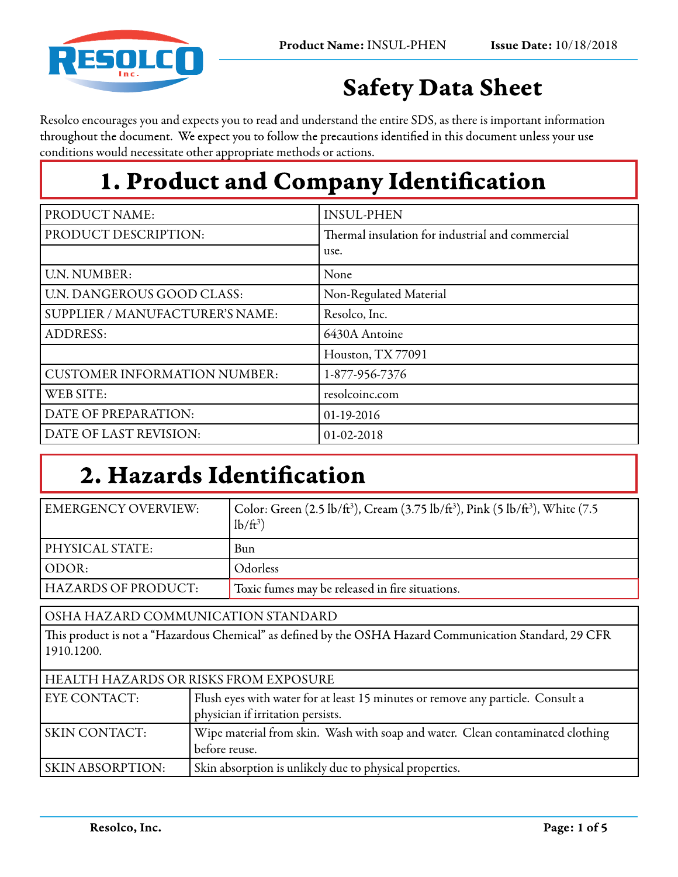

# Safety Data Sheet

Resolco encourages you and expects you to read and understand the entire SDS, as there is important information throughout the document. We expect you to follow the precautions identified in this document unless your use conditions would necessitate other appropriate methods or actions.

# 1. Product and Company Identification

| PRODUCT NAME:                       | <b>INSUL-PHEN</b>                                |
|-------------------------------------|--------------------------------------------------|
| PRODUCT DESCRIPTION:                | Thermal insulation for industrial and commercial |
|                                     | use.                                             |
| <b>U.N. NUMBER:</b>                 | None                                             |
| U.N. DANGEROUS GOOD CLASS:          | Non-Regulated Material                           |
| SUPPLIER / MANUFACTURER'S NAME:     | Resolco, Inc.                                    |
| <b>ADDRESS:</b>                     | 6430A Antoine                                    |
|                                     | Houston, TX77091                                 |
| <b>CUSTOMER INFORMATION NUMBER:</b> | 1-877-956-7376                                   |
| WEB SITE:                           | resolcoinc.com                                   |
| DATE OF PREPARATION:                | 01-19-2016                                       |
| DATE OF LAST REVISION:              | 01-02-2018                                       |

# 2. Hazards Identification

before reuse.

SKIN ABSORPTION: Skin absorption is unlikely due to physical properties.

| <b>EMERGENCY OVERVIEW:</b>                                                                                            | Color: Green (2.5 lb/ft <sup>3</sup> ), Cream (3.75 lb/ft <sup>3</sup> ), Pink (5 lb/ft <sup>3</sup> ), White (7.5<br>$lb/ft^3$ |  |
|-----------------------------------------------------------------------------------------------------------------------|---------------------------------------------------------------------------------------------------------------------------------|--|
| PHYSICAL STATE:                                                                                                       | <b>Bun</b>                                                                                                                      |  |
| ODOR:                                                                                                                 | Odorless                                                                                                                        |  |
| <b>HAZARDS OF PRODUCT:</b>                                                                                            | Toxic fumes may be released in fire situations.                                                                                 |  |
| OSHA HAZARD COMMUNICATION STANDARD                                                                                    |                                                                                                                                 |  |
| This product is not a "Hazardous Chemical" as defined by the OSHA Hazard Communication Standard, 29 CFR<br>1910.1200. |                                                                                                                                 |  |
| HEALTH HAZARDS OR RISKS FROM EXPOSURE                                                                                 |                                                                                                                                 |  |
| <b>EYE CONTACT:</b>                                                                                                   | Flush eyes with water for at least 15 minutes or remove any particle. Consult a<br>physician if irritation persists.            |  |
| <b>SKIN CONTACT:</b>                                                                                                  | Wipe material from skin. Wash with soap and water. Clean contaminated clothing                                                  |  |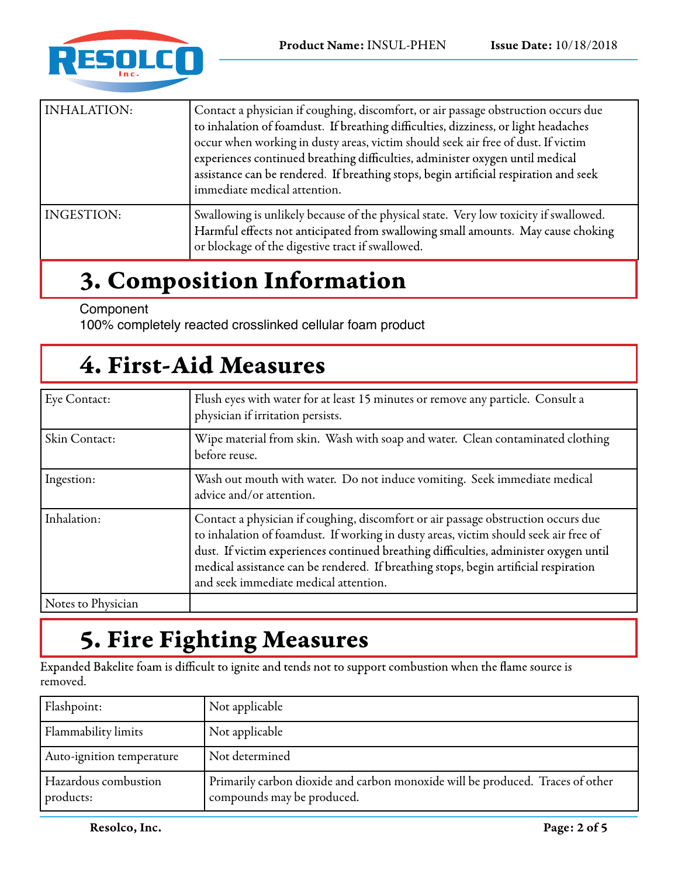

| INHALATION: | Contact a physician if coughing, discomfort, or air passage obstruction occurs due<br>to inhalation of foamdust. If breathing difficulties, dizziness, or light headaches<br>occur when working in dusty areas, victim should seek air free of dust. If victim<br>experiences continued breathing difficulties, administer oxygen until medical<br>assistance can be rendered. If breathing stops, begin artificial respiration and seek<br>immediate medical attention. |
|-------------|--------------------------------------------------------------------------------------------------------------------------------------------------------------------------------------------------------------------------------------------------------------------------------------------------------------------------------------------------------------------------------------------------------------------------------------------------------------------------|
| INGESTION:  | Swallowing is unlikely because of the physical state. Very low toxicity if swallowed.<br>Harmful effects not anticipated from swallowing small amounts. May cause choking<br>or blockage of the digestive tract if swallowed.                                                                                                                                                                                                                                            |

#### 3. Composition Information

#### Component

100% completely reacted crosslinked cellular foam product

#### 4. First-Aid Measures

| Eye Contact:       | Flush eyes with water for at least 15 minutes or remove any particle. Consult a<br>physician if irritation persists.                                                                                                                                                                                                                                                                                |
|--------------------|-----------------------------------------------------------------------------------------------------------------------------------------------------------------------------------------------------------------------------------------------------------------------------------------------------------------------------------------------------------------------------------------------------|
| Skin Contact:      | Wipe material from skin. Wash with soap and water. Clean contaminated clothing<br>before reuse.                                                                                                                                                                                                                                                                                                     |
| Ingestion:         | Wash out mouth with water. Do not induce vomiting. Seek immediate medical<br>advice and/or attention.                                                                                                                                                                                                                                                                                               |
| Inhalation:        | Contact a physician if coughing, discomfort or air passage obstruction occurs due<br>to inhalation of foamdust. If working in dusty areas, victim should seek air free of<br>dust. If victim experiences continued breathing difficulties, administer oxygen until<br>medical assistance can be rendered. If breathing stops, begin artificial respiration<br>and seek immediate medical attention. |
| Notes to Physician |                                                                                                                                                                                                                                                                                                                                                                                                     |

## 5. Fire Fighting Measures

Expanded Bakelite foam is difficult to ignite and tends not to support combustion when the flame source is removed.

| Flashpoint:                       | Not applicable                                                                                               |
|-----------------------------------|--------------------------------------------------------------------------------------------------------------|
| Flammability limits               | Not applicable                                                                                               |
| Auto-ignition temperature         | Not determined                                                                                               |
| Hazardous combustion<br>products: | Primarily carbon dioxide and carbon monoxide will be produced. Traces of other<br>compounds may be produced. |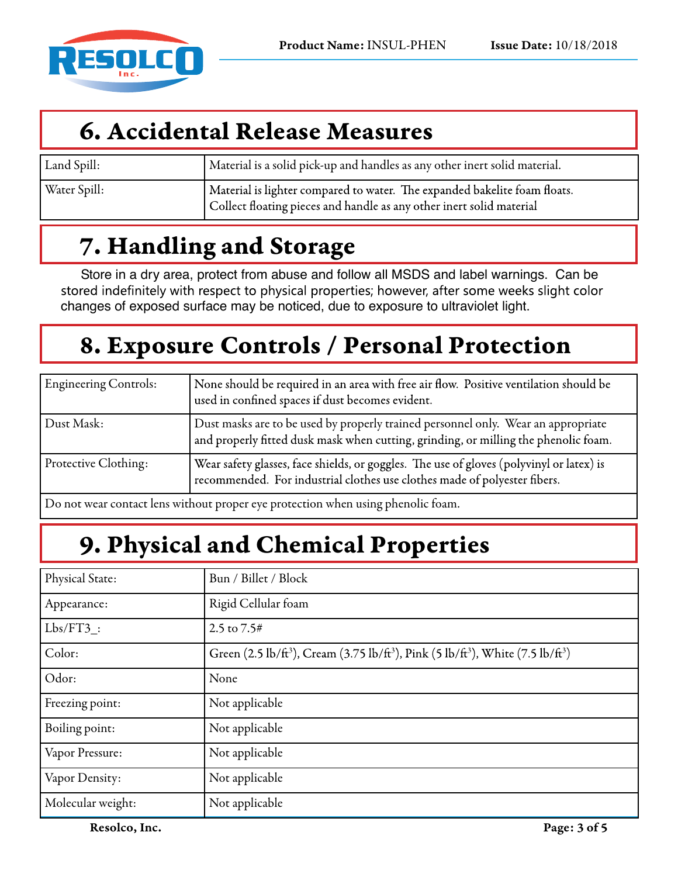

## 6. Accidental Release Measures

| Land Spill:  | Material is a solid pick-up and handles as any other inert solid material.                                                                        |
|--------------|---------------------------------------------------------------------------------------------------------------------------------------------------|
| Water Spill: | Material is lighter compared to water. The expanded bakelite foam floats.<br>Collect floating pieces and handle as any other inert solid material |

## 7. Handling and Storage

Store in a dry area, protect from abuse and follow all MSDS and label warnings. Can be stored indefinitely with respect to physical properties; however, after some weeks slight color changes of exposed surface may be noticed, due to exposure to ultraviolet light.

# 8. Exposure Controls / Personal Protection

| <b>Engineering Controls:</b> | None should be required in an area with free air flow. Positive ventilation should be<br>used in confined spaces if dust becomes evident.                                |
|------------------------------|--------------------------------------------------------------------------------------------------------------------------------------------------------------------------|
| Dust Mask:                   | Dust masks are to be used by properly trained personnel only. Wear an appropriate<br>and properly fitted dusk mask when cutting, grinding, or milling the phenolic foam. |
| Protective Clothing:         | Wear safety glasses, face shields, or goggles. The use of gloves (polyvinyl or latex) is<br>recommended. For industrial clothes use clothes made of polyester fibers.    |
|                              | De not week contrat lens with out naon or excupitor when wing place of a form                                                                                            |

Do not wear contact lens without proper eye protection when using phenolic foam.

# 9. Physical and Chemical Properties

| Physical State:   | Bun / Billet / Block                                                                                                             |
|-------------------|----------------------------------------------------------------------------------------------------------------------------------|
| Appearance:       | Rigid Cellular foam                                                                                                              |
| $Lbs/FT3$ :       | 2.5 to 7.5#                                                                                                                      |
| Color:            | Green (2.5 lb/ft <sup>3</sup> ), Cream (3.75 lb/ft <sup>3</sup> ), Pink (5 lb/ft <sup>3</sup> ), White (7.5 lb/ft <sup>3</sup> ) |
| Odor:             | None                                                                                                                             |
| Freezing point:   | Not applicable                                                                                                                   |
| Boiling point:    | Not applicable                                                                                                                   |
| Vapor Pressure:   | Not applicable                                                                                                                   |
| Vapor Density:    | Not applicable                                                                                                                   |
| Molecular weight: | Not applicable                                                                                                                   |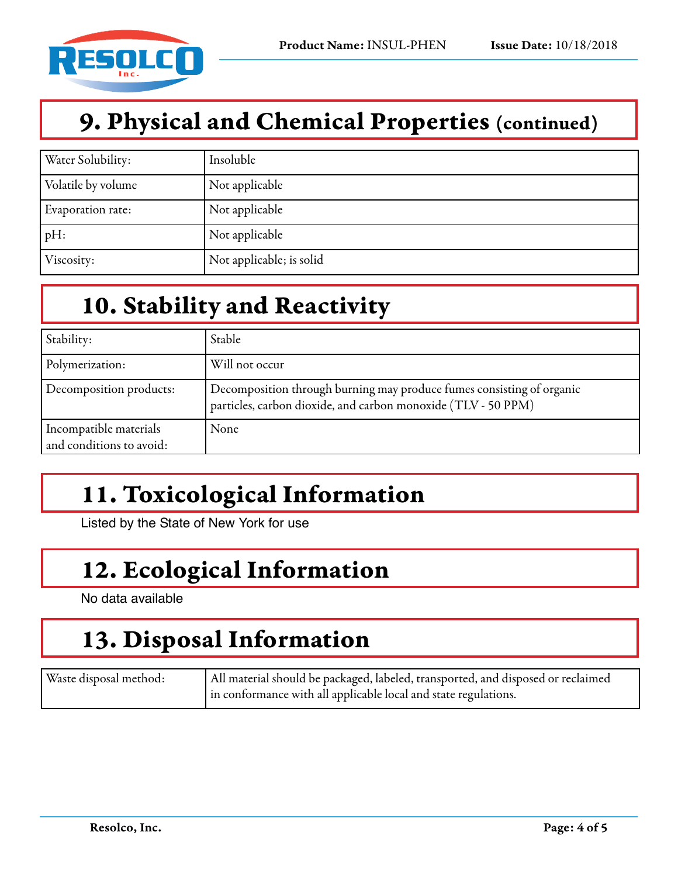

#### 9. Physical and Chemical Properties (continued)

| Water Solubility:  | Insoluble                |
|--------------------|--------------------------|
| Volatile by volume | Not applicable           |
| Evaporation rate:  | Not applicable           |
| pH:                | Not applicable           |
| Viscosity:         | Not applicable; is solid |

## 10. Stability and Reactivity

| Stability:                                         | Stable                                                                                                                                 |
|----------------------------------------------------|----------------------------------------------------------------------------------------------------------------------------------------|
| Polymerization:                                    | Will not occur                                                                                                                         |
| Decomposition products:                            | Decomposition through burning may produce fumes consisting of organic<br>particles, carbon dioxide, and carbon monoxide (TLV - 50 PPM) |
| Incompatible materials<br>and conditions to avoid: | None                                                                                                                                   |

# 11. Toxicological Information

Listed by the State of New York for use

## 12. Ecological Information

No data available

### 13. Disposal Information

| Waste disposal method: | All material should be packaged, labeled, transported, and disposed or reclaimed |
|------------------------|----------------------------------------------------------------------------------|
|                        | in conformance with all applicable local and state regulations.                  |